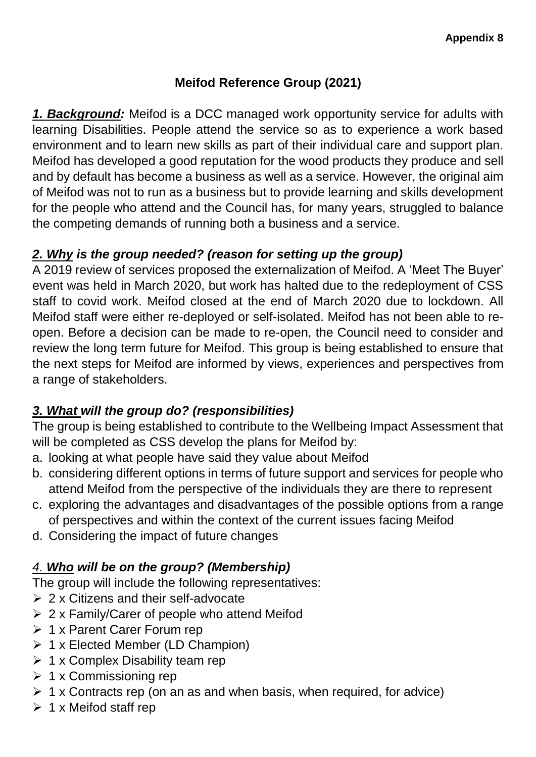# **Meifod Reference Group (2021)**

*1. Background:* Meifod is a DCC managed work opportunity service for adults with learning Disabilities. People attend the service so as to experience a work based environment and to learn new skills as part of their individual care and support plan. Meifod has developed a good reputation for the wood products they produce and sell and by default has become a business as well as a service. However, the original aim of Meifod was not to run as a business but to provide learning and skills development for the people who attend and the Council has, for many years, struggled to balance the competing demands of running both a business and a service.

#### *2. Why is the group needed? (reason for setting up the group)*

A 2019 review of services proposed the externalization of Meifod. A 'Meet The Buyer' event was held in March 2020, but work has halted due to the redeployment of CSS staff to covid work. Meifod closed at the end of March 2020 due to lockdown. All Meifod staff were either re-deployed or self-isolated. Meifod has not been able to reopen. Before a decision can be made to re-open, the Council need to consider and review the long term future for Meifod. This group is being established to ensure that the next steps for Meifod are informed by views, experiences and perspectives from a range of stakeholders.

# *3. What will the group do? (responsibilities)*

The group is being established to contribute to the Wellbeing Impact Assessment that will be completed as CSS develop the plans for Meifod by:

- a. looking at what people have said they value about Meifod
- b. considering different options in terms of future support and services for people who attend Meifod from the perspective of the individuals they are there to represent
- c. exploring the advantages and disadvantages of the possible options from a range of perspectives and within the context of the current issues facing Meifod
- d. Considering the impact of future changes

# *4. Who will be on the group? (Membership)*

The group will include the following representatives:

- $\geq 2$  x Citizens and their self-advocate
- $\geq 2$  x Family/Carer of people who attend Meifod
- $\geq 1$  x Parent Carer Forum rep
- $\geq 1$  x Elected Member (LD Champion)
- $\geq 1$  x Complex Disability team rep
- $\geq 1$  x Commissioning rep
- $\triangleright$  1 x Contracts rep (on an as and when basis, when required, for advice)
- $\triangleright$  1 x Meifod staff rep